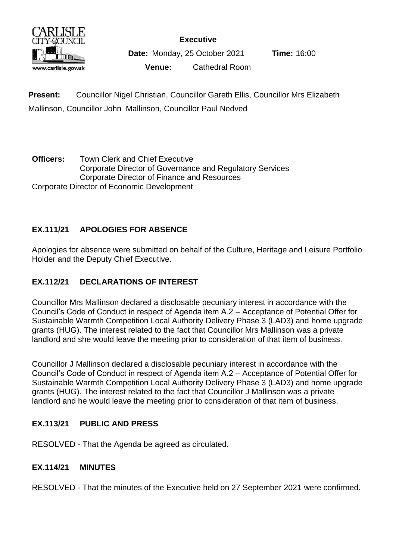

**Executive**

**Date:** Monday, 25 October 2021 **Time:** 16:00

**Venue:** Cathedral Room

**Present:** Councillor Nigel Christian, Councillor Gareth Ellis, Councillor Mrs Elizabeth Mallinson, Councillor John Mallinson, Councillor Paul Nedved

**Officers:** Town Clerk and Chief Executive Corporate Director of Governance and Regulatory Services Corporate Director of Finance and Resources Corporate Director of Economic Development

# **EX.111/21 APOLOGIES FOR ABSENCE**

Apologies for absence were submitted on behalf of the Culture, Heritage and Leisure Portfolio Holder and the Deputy Chief Executive.

# **EX.112/21 DECLARATIONS OF INTEREST**

Councillor Mrs Mallinson declared a disclosable pecuniary interest in accordance with the Council's Code of Conduct in respect of Agenda item A.2 – Acceptance of Potential Offer for Sustainable Warmth Competition Local Authority Delivery Phase 3 (LAD3) and home upgrade grants (HUG). The interest related to the fact that Councillor Mrs Mallinson was a private landlord and she would leave the meeting prior to consideration of that item of business.

Councillor J Mallinson declared a disclosable pecuniary interest in accordance with the Council's Code of Conduct in respect of Agenda item A.2 – Acceptance of Potential Offer for Sustainable Warmth Competition Local Authority Delivery Phase 3 (LAD3) and home upgrade grants (HUG). The interest related to the fact that Councillor J Mallinson was a private landlord and he would leave the meeting prior to consideration of that item of business.

# **EX.113/21 PUBLIC AND PRESS**

RESOLVED - That the Agenda be agreed as circulated.

# **EX.114/21 MINUTES**

RESOLVED - That the minutes of the Executive held on 27 September 2021 were confirmed.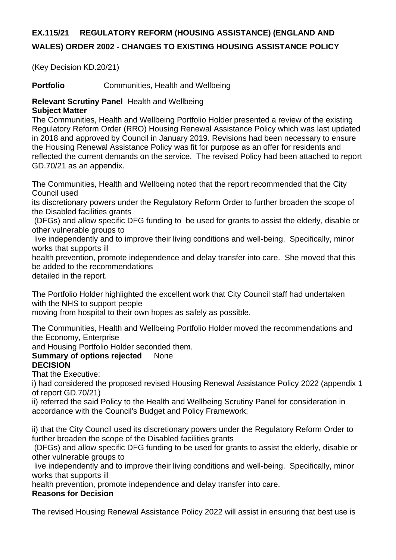# **EX.115/21 REGULATORY REFORM (HOUSING ASSISTANCE) (ENGLAND AND WALES) ORDER 2002 - CHANGES TO EXISTING HOUSING ASSISTANCE POLICY**

(Key Decision KD.20/21)

**Portfolio Communities, Health and Wellbeing** 

## **Relevant Scrutiny Panel** Health and Wellbeing **Subject Matter**

The Communities, Health and Wellbeing Portfolio Holder presented a review of the existing Regulatory Reform Order (RRO) Housing Renewal Assistance Policy which was last updated in 2018 and approved by Council in January 2019. Revisions had been necessary to ensure the Housing Renewal Assistance Policy was fit for purpose as an offer for residents and reflected the current demands on the service. The revised Policy had been attached to report GD.70/21 as an appendix.

The Communities, Health and Wellbeing noted that the report recommended that the City Council used

its discretionary powers under the Regulatory Reform Order to further broaden the scope of the Disabled facilities grants

(DFGs) and allow specific DFG funding to be used for grants to assist the elderly, disable or other vulnerable groups to

live independently and to improve their living conditions and well-being. Specifically, minor works that supports ill

health prevention, promote independence and delay transfer into care. She moved that this be added to the recommendations

detailed in the report.

The Portfolio Holder highlighted the excellent work that City Council staff had undertaken with the NHS to support people

moving from hospital to their own hopes as safely as possible.

The Communities, Health and Wellbeing Portfolio Holder moved the recommendations and the Economy, Enterprise

and Housing Portfolio Holder seconded them.

## **Summary of options rejected** None **DECISION**

That the Executive:

i) had considered the proposed revised Housing Renewal Assistance Policy 2022 (appendix 1 of report GD.70/21)

ii) referred the said Policy to the Health and Wellbeing Scrutiny Panel for consideration in accordance with the Council's Budget and Policy Framework;

ii) that the City Council used its discretionary powers under the Regulatory Reform Order to further broaden the scope of the Disabled facilities grants

(DFGs) and allow specific DFG funding to be used for grants to assist the elderly, disable or other vulnerable groups to

live independently and to improve their living conditions and well-being. Specifically, minor works that supports ill

health prevention, promote independence and delay transfer into care.

# **Reasons for Decision**

The revised Housing Renewal Assistance Policy 2022 will assist in ensuring that best use is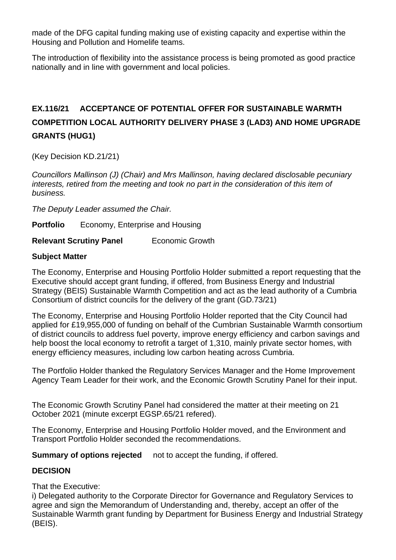made of the DFG capital funding making use of existing capacity and expertise within the Housing and Pollution and Homelife teams.

The introduction of flexibility into the assistance process is being promoted as good practice nationally and in line with government and local policies.

# **EX.116/21 ACCEPTANCE OF POTENTIAL OFFER FOR SUSTAINABLE WARMTH COMPETITION LOCAL AUTHORITY DELIVERY PHASE 3 (LAD3) AND HOME UPGRADE GRANTS (HUG1)**

(Key Decision KD.21/21)

*Councillors Mallinson (J) (Chair) and Mrs Mallinson, having declared disclosable pecuniary interests, retired from the meeting and took no part in the consideration of this item of business.*

*The Deputy Leader assumed the Chair.*

**Portfolio** Economy, Enterprise and Housing

**Relevant Scrutiny Panel Economic Growth** 

## **Subject Matter**

The Economy, Enterprise and Housing Portfolio Holder submitted a report requesting that the Executive should accept grant funding, if offered, from Business Energy and Industrial Strategy (BEIS) Sustainable Warmth Competition and act as the lead authority of a Cumbria Consortium of district councils for the delivery of the grant (GD.73/21)

The Economy, Enterprise and Housing Portfolio Holder reported that the City Council had applied for £19,955,000 of funding on behalf of the Cumbrian Sustainable Warmth consortium of district councils to address fuel poverty, improve energy efficiency and carbon savings and help boost the local economy to retrofit a target of 1,310, mainly private sector homes, with energy efficiency measures, including low carbon heating across Cumbria.

The Portfolio Holder thanked the Regulatory Services Manager and the Home Improvement Agency Team Leader for their work, and the Economic Growth Scrutiny Panel for their input.

The Economic Growth Scrutiny Panel had considered the matter at their meeting on 21 October 2021 (minute excerpt EGSP.65/21 refered).

The Economy, Enterprise and Housing Portfolio Holder moved, and the Environment and Transport Portfolio Holder seconded the recommendations.

**Summary of options rejected** not to accept the funding, if offered.

## **DECISION**

That the Executive:

i) Delegated authority to the Corporate Director for Governance and Regulatory Services to agree and sign the Memorandum of Understanding and, thereby, accept an offer of the Sustainable Warmth grant funding by Department for Business Energy and Industrial Strategy (BEIS).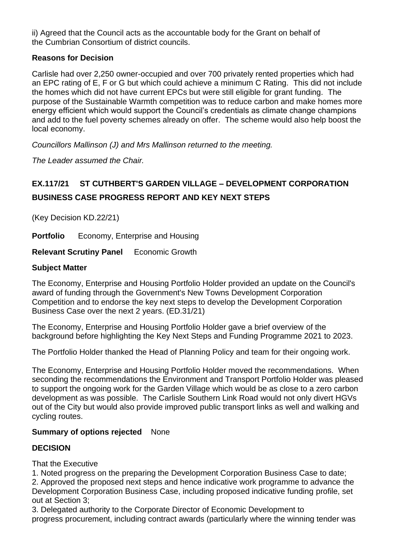ii) Agreed that the Council acts as the accountable body for the Grant on behalf of the Cumbrian Consortium of district councils.

# **Reasons for Decision**

Carlisle had over 2,250 owner-occupied and over 700 privately rented properties which had an EPC rating of E, F or G but which could achieve a minimum C Rating. This did not include the homes which did not have current EPCs but were still eligible for grant funding. The purpose of the Sustainable Warmth competition was to reduce carbon and make homes more energy efficient which would support the Council's credentials as climate change champions and add to the fuel poverty schemes already on offer. The scheme would also help boost the local economy.

*Councillors Mallinson (J) and Mrs Mallinson returned to the meeting.*

*The Leader assumed the Chair.*

# **EX.117/21 ST CUTHBERT'S GARDEN VILLAGE – DEVELOPMENT CORPORATION BUSINESS CASE PROGRESS REPORT AND KEY NEXT STEPS**

(Key Decision KD.22/21)

**Portfolio** Economy, Enterprise and Housing

**Relevant Scrutiny Panel** Economic Growth

# **Subject Matter**

The Economy, Enterprise and Housing Portfolio Holder provided an update on the Council's award of funding through the Government's New Towns Development Corporation Competition and to endorse the key next steps to develop the Development Corporation Business Case over the next 2 years. (ED.31/21)

The Economy, Enterprise and Housing Portfolio Holder gave a brief overview of the background before highlighting the Key Next Steps and Funding Programme 2021 to 2023.

The Portfolio Holder thanked the Head of Planning Policy and team for their ongoing work.

The Economy, Enterprise and Housing Portfolio Holder moved the recommendations. When seconding the recommendations the Environment and Transport Portfolio Holder was pleased to support the ongoing work for the Garden Village which would be as close to a zero carbon development as was possible. The Carlisle Southern Link Road would not only divert HGVs out of the City but would also provide improved public transport links as well and walking and cycling routes.

# **Summary of options rejected** None

# **DECISION**

That the Executive

1. Noted progress on the preparing the Development Corporation Business Case to date;

2. Approved the proposed next steps and hence indicative work programme to advance the Development Corporation Business Case, including proposed indicative funding profile, set out at Section 3;

3. Delegated authority to the Corporate Director of Economic Development to progress procurement, including contract awards (particularly where the winning tender was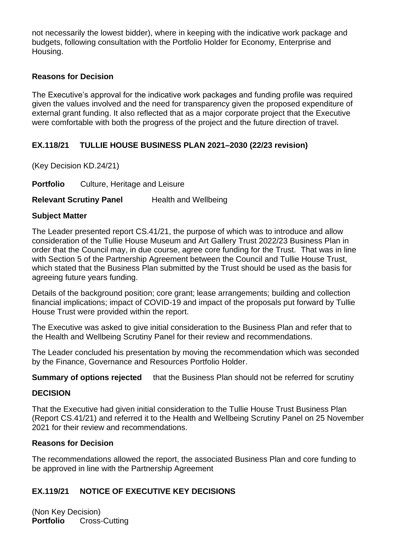not necessarily the lowest bidder), where in keeping with the indicative work package and budgets, following consultation with the Portfolio Holder for Economy, Enterprise and Housing.

# **Reasons for Decision**

The Executive's approval for the indicative work packages and funding profile was required given the values involved and the need for transparency given the proposed expenditure of external grant funding. It also reflected that as a major corporate project that the Executive were comfortable with both the progress of the project and the future direction of travel.

## **EX.118/21 TULLIE HOUSE BUSINESS PLAN 2021–2030 (22/23 revision)**

(Key Decision KD.24/21)

**Portfolio** Culture, Heritage and Leisure

**Relevant Scrutiny Panel Health and Wellbeing** 

#### **Subject Matter**

The Leader presented report CS.41/21, the purpose of which was to introduce and allow consideration of the Tullie House Museum and Art Gallery Trust 2022/23 Business Plan in order that the Council may, in due course, agree core funding for the Trust. That was in line with Section 5 of the Partnership Agreement between the Council and Tullie House Trust. which stated that the Business Plan submitted by the Trust should be used as the basis for agreeing future years funding.

Details of the background position; core grant; lease arrangements; building and collection financial implications; impact of COVID-19 and impact of the proposals put forward by Tullie House Trust were provided within the report.

The Executive was asked to give initial consideration to the Business Plan and refer that to the Health and Wellbeing Scrutiny Panel for their review and recommendations.

The Leader concluded his presentation by moving the recommendation which was seconded by the Finance, Governance and Resources Portfolio Holder.

**Summary of options rejected** that the Business Plan should not be referred for scrutiny

## **DECISION**

That the Executive had given initial consideration to the Tullie House Trust Business Plan (Report CS.41/21) and referred it to the Health and Wellbeing Scrutiny Panel on 25 November 2021 for their review and recommendations.

#### **Reasons for Decision**

The recommendations allowed the report, the associated Business Plan and core funding to be approved in line with the Partnership Agreement

# **EX.119/21 NOTICE OF EXECUTIVE KEY DECISIONS**

(Non Key Decision) **Portfolio** Cross-Cutting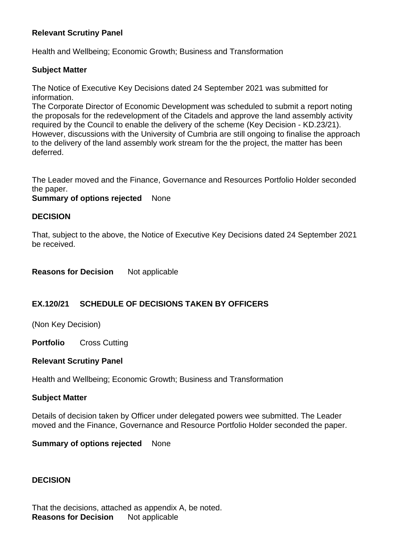## **Relevant Scrutiny Panel**

Health and Wellbeing; Economic Growth; Business and Transformation

## **Subject Matter**

The Notice of Executive Key Decisions dated 24 September 2021 was submitted for information.

The Corporate Director of Economic Development was scheduled to submit a report noting the proposals for the redevelopment of the Citadels and approve the land assembly activity required by the Council to enable the delivery of the scheme (Key Decision - KD.23/21). However, discussions with the University of Cumbria are still ongoing to finalise the approach to the delivery of the land assembly work stream for the the project, the matter has been deferred.

The Leader moved and the Finance, Governance and Resources Portfolio Holder seconded the paper.

**Summary of options rejected** None

## **DECISION**

That, subject to the above, the Notice of Executive Key Decisions dated 24 September 2021 be received.

**Reasons for Decision** Not applicable

# **EX.120/21 SCHEDULE OF DECISIONS TAKEN BY OFFICERS**

(Non Key Decision)

**Portfolio** Cross Cutting

#### **Relevant Scrutiny Panel**

Health and Wellbeing; Economic Growth; Business and Transformation

#### **Subject Matter**

Details of decision taken by Officer under delegated powers wee submitted. The Leader moved and the Finance, Governance and Resource Portfolio Holder seconded the paper.

**Summary of options rejected** None

## **DECISION**

That the decisions, attached as appendix A, be noted. **Reasons for Decision** Not applicable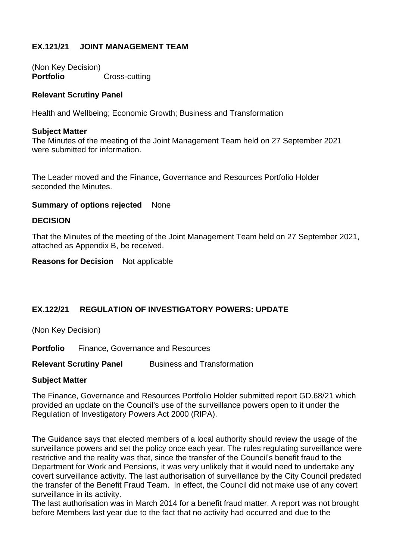# **EX.121/21 JOINT MANAGEMENT TEAM**

(Non Key Decision) **Portfolio Cross-cutting** 

#### **Relevant Scrutiny Panel**

Health and Wellbeing; Economic Growth; Business and Transformation

#### **Subject Matter**

The Minutes of the meeting of the Joint Management Team held on 27 September 2021 were submitted for information.

The Leader moved and the Finance, Governance and Resources Portfolio Holder seconded the Minutes.

#### **Summary of options rejected** None

#### **DECISION**

That the Minutes of the meeting of the Joint Management Team held on 27 September 2021, attached as Appendix B, be received.

**Reasons for Decision** Not applicable

## **EX.122/21 REGULATION OF INVESTIGATORY POWERS: UPDATE**

(Non Key Decision)

**Portfolio** Finance, Governance and Resources

**Relevant Scrutiny Panel Business and Transformation** 

#### **Subject Matter**

The Finance, Governance and Resources Portfolio Holder submitted report GD.68/21 which provided an update on the Council's use of the surveillance powers open to it under the Regulation of Investigatory Powers Act 2000 (RIPA).

The Guidance says that elected members of a local authority should review the usage of the surveillance powers and set the policy once each year. The rules regulating surveillance were restrictive and the reality was that, since the transfer of the Council's benefit fraud to the Department for Work and Pensions, it was very unlikely that it would need to undertake any covert surveillance activity. The last authorisation of surveillance by the City Council predated the transfer of the Benefit Fraud Team. In effect, the Council did not make use of any covert surveillance in its activity.

The last authorisation was in March 2014 for a benefit fraud matter. A report was not brought before Members last year due to the fact that no activity had occurred and due to the